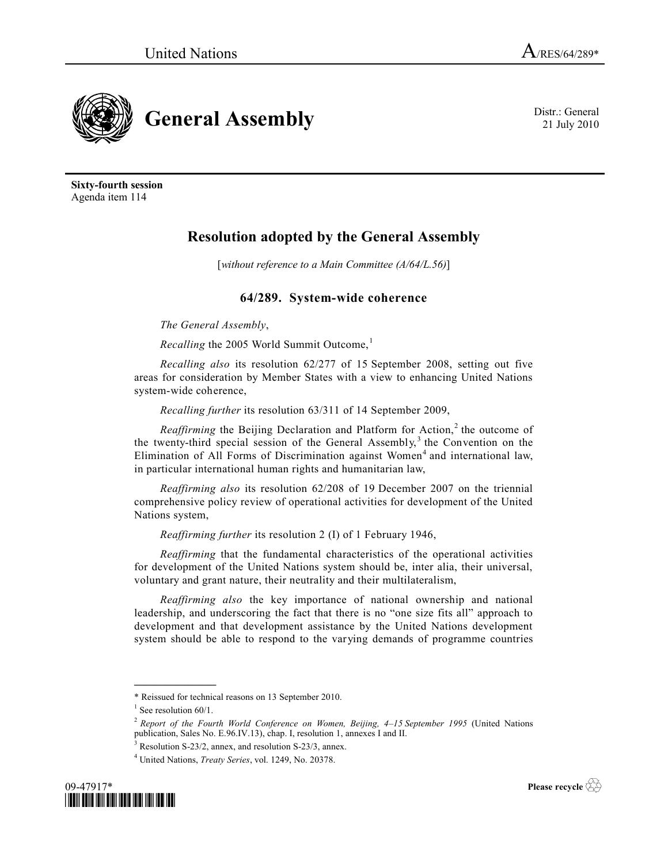

21 July 2010

**Sixty-fourth session** Agenda item 114

# **Resolution adopted by the General Assembly**

[*without reference to a Main Committee (A/64/L.56)*]

## **64/289. System-wide coherence**

*The General Assembly*,

*Recalling* the 2005 World Summit Outcome,<sup>1</sup>

*Recalling also* its resolution 62/277 of 15 September 2008, setting out five areas for consideration by Member States with a view to enhancing United Nations system-wide coherence,

*Recalling further* its resolution 63/311 of 14 September 2009,

*Reaffirming* the Beijing Declaration and Platform for Action,<sup>2</sup> the outcome of the twenty-third special session of the General Assembly,<sup>3</sup> the Convention on the Elimination of All Forms of Discrimination against Women<sup>4</sup> and international law, in particular international human rights and humanitarian law,

*Reaffirming also* its resolution 62/208 of 19 December 2007 on the triennial comprehensive policy review of operational activities for development of the United Nations system,

*Reaffirming further* its resolution 2 (I) of 1 February 1946,

*Reaffirming* that the fundamental characteristics of the operational activities for development of the United Nations system should be, inter alia, their universal, voluntary and grant nature, their neutrality and their multilateralism,

*Reaffirming also* the key importance of national ownership and national leadership, and underscoring the fact that there is no "one size fits all" approach to development and that development assistance by the United Nations development system should be able to respond to the varying demands of programme countries

**\_\_\_\_\_\_\_\_\_\_\_\_\_\_\_**

<sup>4</sup> United Nations, *Treaty Series*, vol. 1249, No. 20378.



**Please recycle** 

<sup>\*</sup> Reissued for technical reasons on 13 September 2010.

<sup>&</sup>lt;sup>1</sup> See resolution 60/1.

<sup>2</sup> *Report of the Fourth World Conference on Women, Beijing, 4–15 September 1995* (United Nations publication, Sales No. E.96.IV.13), chap. I, resolution 1, annexes I and II.

 $3$  Resolution S-23/2, annex, and resolution S-23/3, annex.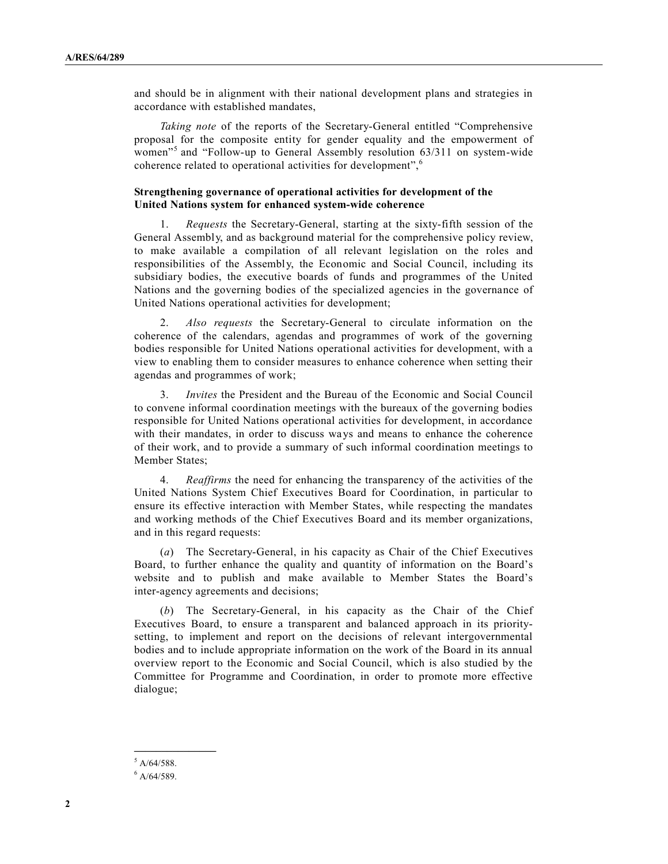and should be in alignment with their national development plans and strategies in accordance with established mandates,

*Taking note* of the reports of the Secretary-General entitled "Comprehensive proposal for the composite entity for gender equality and the empowerment of women<sup>15</sup> and "Follow-up to General Assembly resolution 63/311 on system-wide coherence related to operational activities for development",<sup>6</sup>

## **Strengthening governance of operational activities for development of the United Nations system for enhanced system-wide coherence**

1. *Requests* the Secretary-General, starting at the sixty-fifth session of the General Assembly, and as background material for the comprehensive policy review, to make available a compilation of all relevant legislation on the roles and responsibilities of the Assembly, the Economic and Social Council, including its subsidiary bodies, the executive boards of funds and programmes of the United Nations and the governing bodies of the specialized agencies in the governance of United Nations operational activities for development;

2. *Also requests* the Secretary-General to circulate information on the coherence of the calendars, agendas and programmes of work of the governing bodies responsible for United Nations operational activities for development, with a view to enabling them to consider measures to enhance coherence when setting their agendas and programmes of work;

3. *Invites* the President and the Bureau of the Economic and Social Council to convene informal coordination meetings with the bureaux of the governing bodies responsible for United Nations operational activities for development, in accordance with their mandates, in order to discuss ways and means to enhance the coherence of their work, and to provide a summary of such informal coordination meetings to Member States;

4. *Reaffirms* the need for enhancing the transparency of the activities of the United Nations System Chief Executives Board for Coordination, in particular to ensure its effective interaction with Member States, while respecting the mandates and working methods of the Chief Executives Board and its member organizations, and in this regard requests:

(*a*) The Secretary-General, in his capacity as Chair of the Chief Executives Board, to further enhance the quality and quantity of information on the Board's website and to publish and make available to Member States the Board's inter-agency agreements and decisions;

(*b*) The Secretary-General, in his capacity as the Chair of the Chief Executives Board, to ensure a transparent and balanced approach in its prioritysetting, to implement and report on the decisions of relevant intergovernmental bodies and to include appropriate information on the work of the Board in its annual overview report to the Economic and Social Council, which is also studied by the Committee for Programme and Coordination, in order to promote more effective dialogue;

**\_\_\_\_\_\_\_\_\_\_\_\_\_\_\_**

 $5$  A/64/588.

 $6$  A/64/589.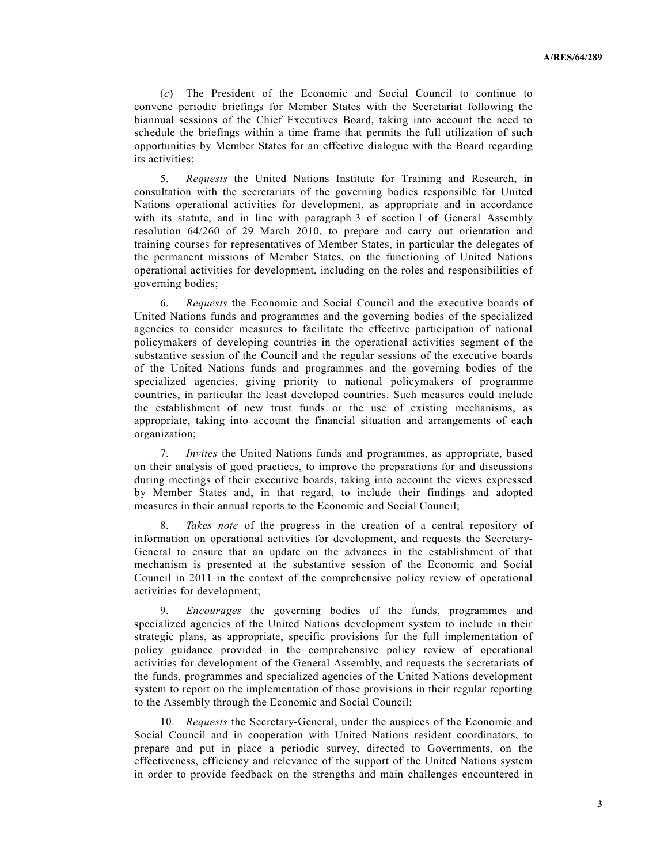(*c*) The President of the Economic and Social Council to continue to convene periodic briefings for Member States with the Secretariat following the biannual sessions of the Chief Executives Board, taking into account the need to schedule the briefings within a time frame that permits the full utilization of such opportunities by Member States for an effective dialogue with the Board regarding its activities;

5. *Requests* the United Nations Institute for Training and Research, in consultation with the secretariats of the governing bodies responsible for United Nations operational activities for development, as appropriate and in accordance with its statute, and in line with paragraph 3 of section I of General Assembly resolution 64/260 of 29 March 2010, to prepare and carry out orientation and training courses for representatives of Member States, in particular the delegates of the permanent missions of Member States, on the functioning of United Nations operational activities for development, including on the roles and responsibilities of governing bodies;

6. *Requests* the Economic and Social Council and the executive boards of United Nations funds and programmes and the governing bodies of the specialized agencies to consider measures to facilitate the effective participation of national policymakers of developing countries in the operational activities segment of the substantive session of the Council and the regular sessions of the executive boards of the United Nations funds and programmes and the governing bodies of the specialized agencies, giving priority to national policymakers of programme countries, in particular the least developed countries. Such measures could include the establishment of new trust funds or the use of existing mechanisms, as appropriate, taking into account the financial situation and arrangements of each organization;

7. *Invites* the United Nations funds and programmes, as appropriate, based on their analysis of good practices, to improve the preparations for and discussions during meetings of their executive boards, taking into account the views expressed by Member States and, in that regard, to include their findings and adopted measures in their annual reports to the Economic and Social Council;

8. *Takes note* of the progress in the creation of a central repository of information on operational activities for development, and requests the Secretary-General to ensure that an update on the advances in the establishment of that mechanism is presented at the substantive session of the Economic and Social Council in 2011 in the context of the comprehensive policy review of operational activities for development;

9. *Encourages* the governing bodies of the funds, programmes and specialized agencies of the United Nations development system to include in their strategic plans, as appropriate, specific provisions for the full implementation of policy guidance provided in the comprehensive policy review of operational activities for development of the General Assembly, and requests the secretariats of the funds, programmes and specialized agencies of the United Nations development system to report on the implementation of those provisions in their regular reporting to the Assembly through the Economic and Social Council;

10. *Requests* the Secretary-General, under the auspices of the Economic and Social Council and in cooperation with United Nations resident coordinators, to prepare and put in place a periodic survey, directed to Governments, on the effectiveness, efficiency and relevance of the support of the United Nations system in order to provide feedback on the strengths and main challenges encountered in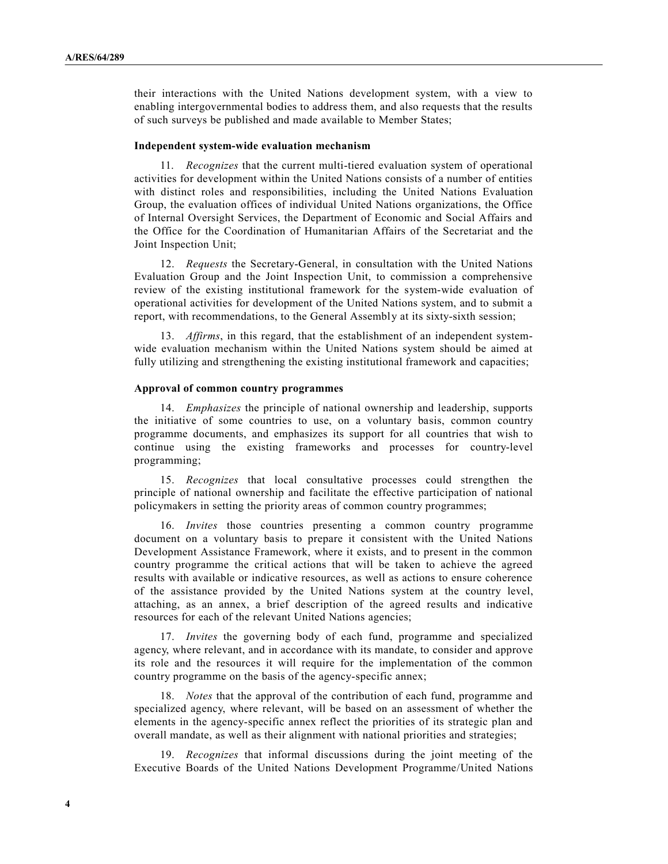their interactions with the United Nations development system, with a view to enabling intergovernmental bodies to address them, and also requests that the results of such surveys be published and made available to Member States;

#### **Independent system-wide evaluation mechanism**

11. *Recognizes* that the current multi-tiered evaluation system of operational activities for development within the United Nations consists of a number of entities with distinct roles and responsibilities, including the United Nations Evaluation Group, the evaluation offices of individual United Nations organizations, the Office of Internal Oversight Services, the Department of Economic and Social Affairs and the Office for the Coordination of Humanitarian Affairs of the Secretariat and the Joint Inspection Unit;

12. *Requests* the Secretary-General, in consultation with the United Nations Evaluation Group and the Joint Inspection Unit, to commission a comprehensive review of the existing institutional framework for the system-wide evaluation of operational activities for development of the United Nations system, and to submit a report, with recommendations, to the General Assembly at its sixty-sixth session;

13. *Affirms*, in this regard, that the establishment of an independent systemwide evaluation mechanism within the United Nations system should be aimed at fully utilizing and strengthening the existing institutional framework and capacities;

#### **Approval of common country programmes**

14. *Emphasizes* the principle of national ownership and leadership, supports the initiative of some countries to use, on a voluntary basis, common country programme documents, and emphasizes its support for all countries that wish to continue using the existing frameworks and processes for country-level programming;

15. *Recognizes* that local consultative processes could strengthen the principle of national ownership and facilitate the effective participation of national policymakers in setting the priority areas of common country programmes;

16. *Invites* those countries presenting a common country programme document on a voluntary basis to prepare it consistent with the United Nations Development Assistance Framework, where it exists, and to present in the common country programme the critical actions that will be taken to achieve the agreed results with available or indicative resources, as well as actions to ensure coherence of the assistance provided by the United Nations system at the country level, attaching, as an annex, a brief description of the agreed results and indicative resources for each of the relevant United Nations agencies;

17. *Invites* the governing body of each fund, programme and specialized agency, where relevant, and in accordance with its mandate, to consider and approve its role and the resources it will require for the implementation of the common country programme on the basis of the agency-specific annex;

18. *Notes* that the approval of the contribution of each fund, programme and specialized agency, where relevant, will be based on an assessment of whether the elements in the agency-specific annex reflect the priorities of its strategic plan and overall mandate, as well as their alignment with national priorities and strategies;

19. *Recognizes* that informal discussions during the joint meeting of the Executive Boards of the United Nations Development Programme/United Nations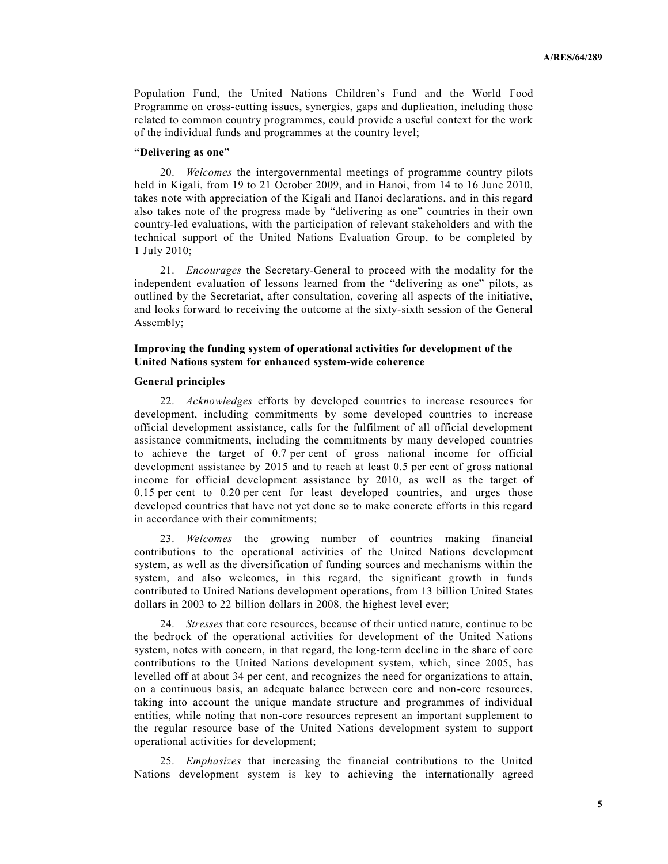Population Fund, the United Nations Children's Fund and the World Food Programme on cross-cutting issues, synergies, gaps and duplication, including those related to common country programmes, could provide a useful context for the work of the individual funds and programmes at the country level;

#### **"Delivering as one"**

20. *Welcomes* the intergovernmental meetings of programme country pilots held in Kigali, from 19 to 21 October 2009, and in Hanoi, from 14 to 16 June 2010, takes note with appreciation of the Kigali and Hanoi declarations, and in this regard also takes note of the progress made by "delivering as one" countries in their own country-led evaluations, with the participation of relevant stakeholders and with the technical support of the United Nations Evaluation Group, to be completed by 1 July 2010;

21. *Encourages* the Secretary-General to proceed with the modality for the independent evaluation of lessons learned from the "delivering as one" pilots, as outlined by the Secretariat, after consultation, covering all aspects of the initiative, and looks forward to receiving the outcome at the sixty-sixth session of the General Assembly;

## **Improving the funding system of operational activities for development of the United Nations system for enhanced system-wide coherence**

#### **General principles**

22. *Acknowledges* efforts by developed countries to increase resources for development, including commitments by some developed countries to increase official development assistance, calls for the fulfilment of all official development assistance commitments, including the commitments by many developed countries to achieve the target of 0.7 per cent of gross national income for official development assistance by 2015 and to reach at least 0.5 per cent of gross national income for official development assistance by 2010, as well as the target of 0.15 per cent to 0.20 per cent for least developed countries, and urges those developed countries that have not yet done so to make concrete efforts in this regard in accordance with their commitments;

23. *Welcomes* the growing number of countries making financial contributions to the operational activities of the United Nations development system, as well as the diversification of funding sources and mechanisms within the system, and also welcomes, in this regard, the significant growth in funds contributed to United Nations development operations, from 13 billion United States dollars in 2003 to 22 billion dollars in 2008, the highest level ever;

24. *Stresses* that core resources, because of their untied nature, continue to be the bedrock of the operational activities for development of the United Nations system, notes with concern, in that regard, the long-term decline in the share of core contributions to the United Nations development system, which, since 2005, has levelled off at about 34 per cent, and recognizes the need for organizations to attain, on a continuous basis, an adequate balance between core and non-core resources, taking into account the unique mandate structure and programmes of individual entities, while noting that non-core resources represent an important supplement to the regular resource base of the United Nations development system to support operational activities for development;

25. *Emphasizes* that increasing the financial contributions to the United Nations development system is key to achieving the internationally agreed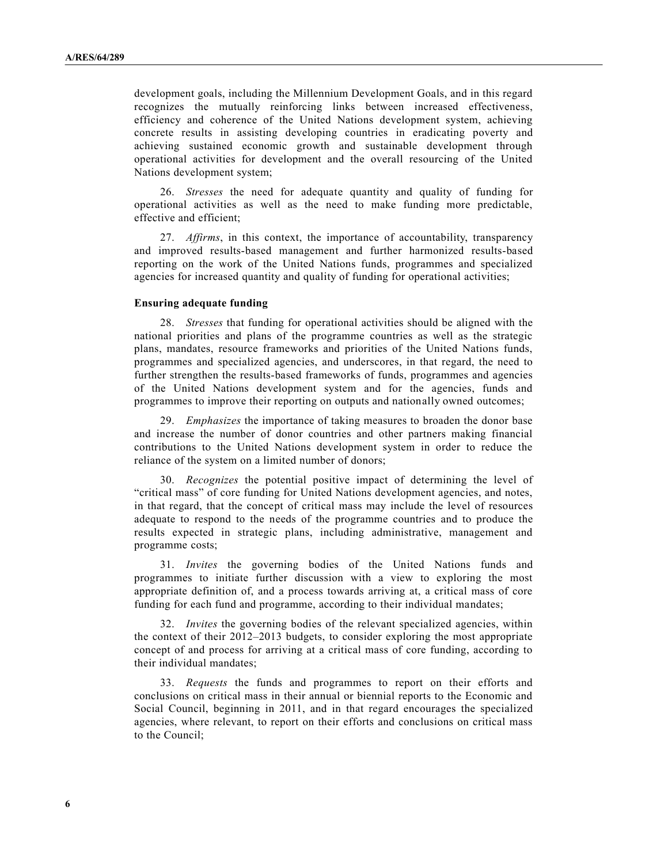development goals, including the Millennium Development Goals, and in this regard recognizes the mutually reinforcing links between increased effectiveness, efficiency and coherence of the United Nations development system, achieving concrete results in assisting developing countries in eradicating poverty and achieving sustained economic growth and sustainable development through operational activities for development and the overall resourcing of the United Nations development system;

26. *Stresses* the need for adequate quantity and quality of funding for operational activities as well as the need to make funding more predictable, effective and efficient;

27. *Affirms*, in this context, the importance of accountability, transparency and improved results-based management and further harmonized results-based reporting on the work of the United Nations funds, programmes and specialized agencies for increased quantity and quality of funding for operational activities;

#### **Ensuring adequate funding**

28. *Stresses* that funding for operational activities should be aligned with the national priorities and plans of the programme countries as well as the strategic plans, mandates, resource frameworks and priorities of the United Nations funds, programmes and specialized agencies, and underscores, in that regard, the need to further strengthen the results-based frameworks of funds, programmes and agencies of the United Nations development system and for the agencies, funds and programmes to improve their reporting on outputs and nationally owned outcomes;

29. *Emphasizes* the importance of taking measures to broaden the donor base and increase the number of donor countries and other partners making financial contributions to the United Nations development system in order to reduce the reliance of the system on a limited number of donors;

30. *Recognizes* the potential positive impact of determining the level of "critical mass" of core funding for United Nations development agencies, and notes, in that regard, that the concept of critical mass may include the level of resources adequate to respond to the needs of the programme countries and to produce the results expected in strategic plans, including administrative, management and programme costs;

31. *Invites* the governing bodies of the United Nations funds and programmes to initiate further discussion with a view to exploring the most appropriate definition of, and a process towards arriving at, a critical mass of core funding for each fund and programme, according to their individual mandates;

32. *Invites* the governing bodies of the relevant specialized agencies, within the context of their 2012–2013 budgets, to consider exploring the most appropriate concept of and process for arriving at a critical mass of core funding, according to their individual mandates;

33. *Requests* the funds and programmes to report on their efforts and conclusions on critical mass in their annual or biennial reports to the Economic and Social Council, beginning in 2011, and in that regard encourages the specialized agencies, where relevant, to report on their efforts and conclusions on critical mass to the Council;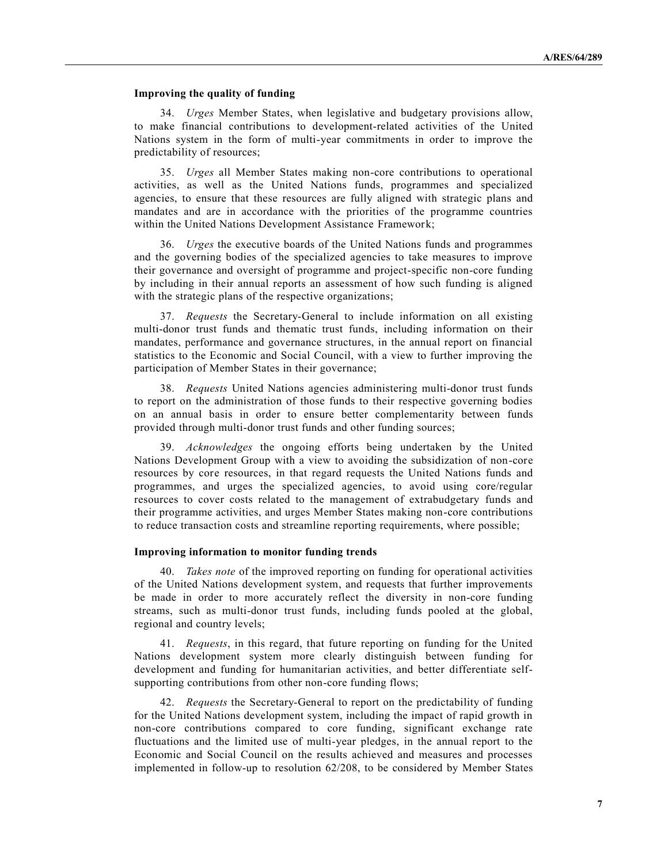## **Improving the quality of funding**

34. *Urges* Member States, when legislative and budgetary provisions allow, to make financial contributions to development-related activities of the United Nations system in the form of multi-year commitments in order to improve the predictability of resources;

35. *Urges* all Member States making non-core contributions to operational activities, as well as the United Nations funds, programmes and specialized agencies, to ensure that these resources are fully aligned with strategic plans and mandates and are in accordance with the priorities of the programme countries within the United Nations Development Assistance Framework;

36. *Urges* the executive boards of the United Nations funds and programmes and the governing bodies of the specialized agencies to take measures to improve their governance and oversight of programme and project-specific non-core funding by including in their annual reports an assessment of how such funding is aligned with the strategic plans of the respective organizations;

37. *Requests* the Secretary-General to include information on all existing multi-donor trust funds and thematic trust funds, including information on their mandates, performance and governance structures, in the annual report on financial statistics to the Economic and Social Council, with a view to further improving the participation of Member States in their governance;

38. *Requests* United Nations agencies administering multi-donor trust funds to report on the administration of those funds to their respective governing bodies on an annual basis in order to ensure better complementarity between funds provided through multi-donor trust funds and other funding sources;

39. *Acknowledges* the ongoing efforts being undertaken by the United Nations Development Group with a view to avoiding the subsidization of non-core resources by core resources, in that regard requests the United Nations funds and programmes, and urges the specialized agencies, to avoid using core/regular resources to cover costs related to the management of extrabudgetary funds and their programme activities, and urges Member States making non-core contributions to reduce transaction costs and streamline reporting requirements, where possible;

#### **Improving information to monitor funding trends**

40. *Takes note* of the improved reporting on funding for operational activities of the United Nations development system, and requests that further improvements be made in order to more accurately reflect the diversity in non-core funding streams, such as multi-donor trust funds, including funds pooled at the global, regional and country levels;

41. *Requests*, in this regard, that future reporting on funding for the United Nations development system more clearly distinguish between funding for development and funding for humanitarian activities, and better differentiate selfsupporting contributions from other non-core funding flows;

42. *Requests* the Secretary-General to report on the predictability of funding for the United Nations development system, including the impact of rapid growth in non-core contributions compared to core funding, significant exchange rate fluctuations and the limited use of multi-year pledges, in the annual report to the Economic and Social Council on the results achieved and measures and processes implemented in follow-up to resolution 62/208, to be considered by Member States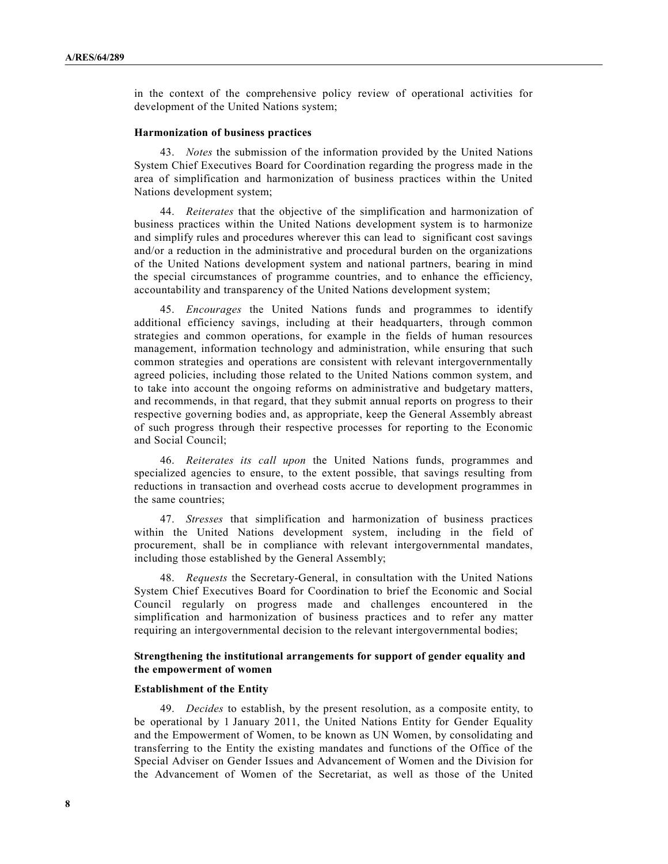in the context of the comprehensive policy review of operational activities for development of the United Nations system;

## **Harmonization of business practices**

43. *Notes* the submission of the information provided by the United Nations System Chief Executives Board for Coordination regarding the progress made in the area of simplification and harmonization of business practices within the United Nations development system;

44. *Reiterates* that the objective of the simplification and harmonization of business practices within the United Nations development system is to harmonize and simplify rules and procedures wherever this can lead to significant cost savings and/or a reduction in the administrative and procedural burden on the organizations of the United Nations development system and national partners, bearing in mind the special circumstances of programme countries, and to enhance the efficiency, accountability and transparency of the United Nations development system;

45. *Encourages* the United Nations funds and programmes to identify additional efficiency savings, including at their headquarters, through common strategies and common operations, for example in the fields of human resources management, information technology and administration, while ensuring that such common strategies and operations are consistent with relevant intergovernmentally agreed policies, including those related to the United Nations common system, and to take into account the ongoing reforms on administrative and budgetary matters, and recommends, in that regard, that they submit annual reports on progress to their respective governing bodies and, as appropriate, keep the General Assembly abreast of such progress through their respective processes for reporting to the Economic and Social Council;

46. *Reiterates its call upon* the United Nations funds, programmes and specialized agencies to ensure, to the extent possible, that savings resulting from reductions in transaction and overhead costs accrue to development programmes in the same countries;

47. *Stresses* that simplification and harmonization of business practices within the United Nations development system, including in the field of procurement, shall be in compliance with relevant intergovernmental mandates, including those established by the General Assembly;

48. *Requests* the Secretary-General, in consultation with the United Nations System Chief Executives Board for Coordination to brief the Economic and Social Council regularly on progress made and challenges encountered in the simplification and harmonization of business practices and to refer any matter requiring an intergovernmental decision to the relevant intergovernmental bodies;

## **Strengthening the institutional arrangements for support of gender equality and the empowerment of women**

#### **Establishment of the Entity**

49. *Decides* to establish, by the present resolution, as a composite entity, to be operational by 1 January 2011, the United Nations Entity for Gender Equality and the Empowerment of Women, to be known as UN Women, by consolidating and transferring to the Entity the existing mandates and functions of the Office of the Special Adviser on Gender Issues and Advancement of Women and the Division for the Advancement of Women of the Secretariat, as well as those of the United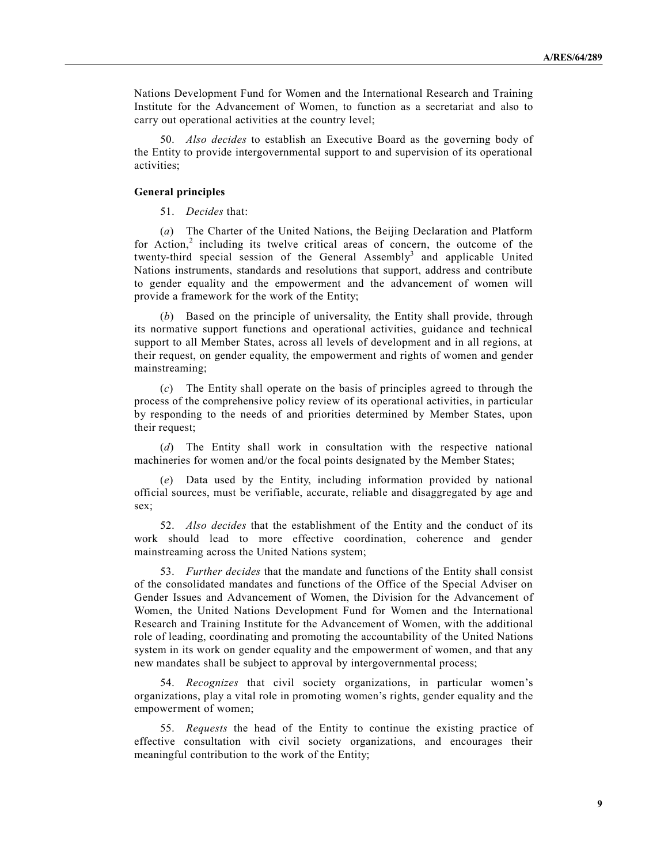Nations Development Fund for Women and the International Research and Training Institute for the Advancement of Women, to function as a secretariat and also to carry out operational activities at the country level;

50. *Also decides* to establish an Executive Board as the governing body of the Entity to provide intergovernmental support to and supervision of its operational activities;

## **General principles**

51. *Decides* that:

(*a*) The Charter of the United Nations, the Beijing Declaration and Platform for Action,<sup>2</sup> including its twelve critical areas of concern, the outcome of the twenty-third special session of the General Assembly<sup>3</sup> and applicable United Nations instruments, standards and resolutions that support, address and contribute to gender equality and the empowerment and the advancement of women will provide a framework for the work of the Entity;

(*b*) Based on the principle of universality, the Entity shall provide, through its normative support functions and operational activities, guidance and technical support to all Member States, across all levels of development and in all regions, at their request, on gender equality, the empowerment and rights of women and gender mainstreaming;

(*c*) The Entity shall operate on the basis of principles agreed to through the process of the comprehensive policy review of its operational activities, in particular by responding to the needs of and priorities determined by Member States, upon their request;

(*d*) The Entity shall work in consultation with the respective national machineries for women and/or the focal points designated by the Member States;

(*e*) Data used by the Entity, including information provided by national official sources, must be verifiable, accurate, reliable and disaggregated by age and sex;

52. *Also decides* that the establishment of the Entity and the conduct of its work should lead to more effective coordination, coherence and gender mainstreaming across the United Nations system;

53. *Further decides* that the mandate and functions of the Entity shall consist of the consolidated mandates and functions of the Office of the Special Adviser on Gender Issues and Advancement of Women, the Division for the Advancement of Women, the United Nations Development Fund for Women and the International Research and Training Institute for the Advancement of Women, with the additional role of leading, coordinating and promoting the accountability of the United Nations system in its work on gender equality and the empowerment of women, and that any new mandates shall be subject to approval by intergovernmental process;

54. *Recognizes* that civil society organizations, in particular women's organizations, play a vital role in promoting women's rights, gender equality and the empowerment of women;

55. *Requests* the head of the Entity to continue the existing practice of effective consultation with civil society organizations, and encourages their meaningful contribution to the work of the Entity;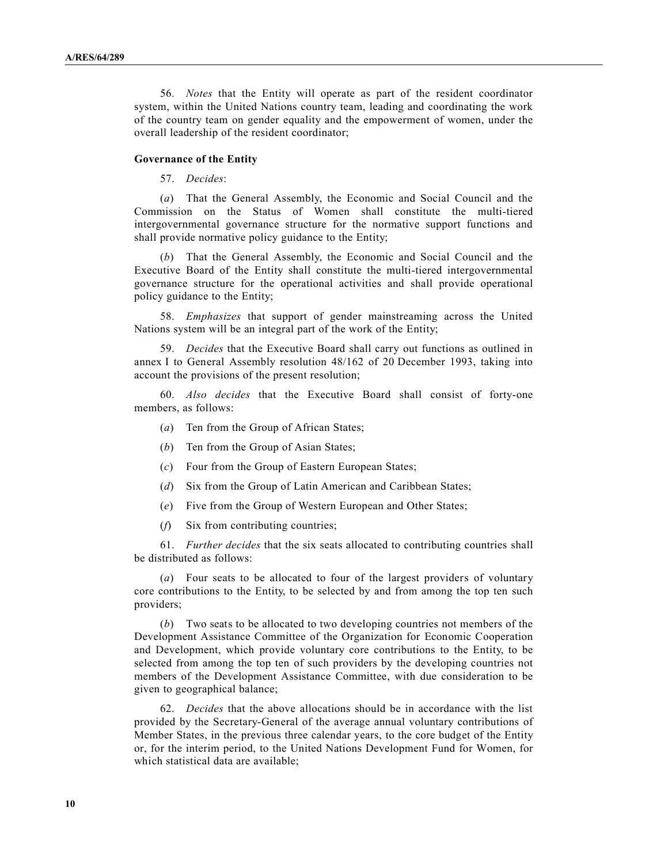56. *Notes* that the Entity will operate as part of the resident coordinator system, within the United Nations country team, leading and coordinating the work of the country team on gender equality and the empowerment of women, under the overall leadership of the resident coordinator;

#### **Governance of the Entity**

57. *Decides*:

(*a*) That the General Assembly, the Economic and Social Council and the Commission on the Status of Women shall constitute the multi-tiered intergovernmental governance structure for the normative support functions and shall provide normative policy guidance to the Entity;

(*b*) That the General Assembly, the Economic and Social Council and the Executive Board of the Entity shall constitute the multi-tiered intergovernmental governance structure for the operational activities and shall provide operational policy guidance to the Entity;

58. *Emphasizes* that support of gender mainstreaming across the United Nations system will be an integral part of the work of the Entity;

59. *Decides* that the Executive Board shall carry out functions as outlined in annex I to General Assembly resolution 48/162 of 20 December 1993, taking into account the provisions of the present resolution;

60. *Also decides* that the Executive Board shall consist of forty-one members, as follows:

- (*a*) Ten from the Group of African States;
- (*b*) Ten from the Group of Asian States;
- (*c*) Four from the Group of Eastern European States;
- (*d*) Six from the Group of Latin American and Caribbean States;
- (*e*) Five from the Group of Western European and Other States;
- (*f*) Six from contributing countries;

61. *Further decides* that the six seats allocated to contributing countries shall be distributed as follows:

(*a*) Four seats to be allocated to four of the largest providers of voluntary core contributions to the Entity, to be selected by and from among the top ten such providers;

(*b*) Two seats to be allocated to two developing countries not members of the Development Assistance Committee of the Organization for Economic Cooperation and Development, which provide voluntary core contributions to the Entity, to be selected from among the top ten of such providers by the developing countries not members of the Development Assistance Committee, with due consideration to be given to geographical balance;

62. *Decides* that the above allocations should be in accordance with the list provided by the Secretary-General of the average annual voluntary contributions of Member States, in the previous three calendar years, to the core budget of the Entity or, for the interim period, to the United Nations Development Fund for Women, for which statistical data are available;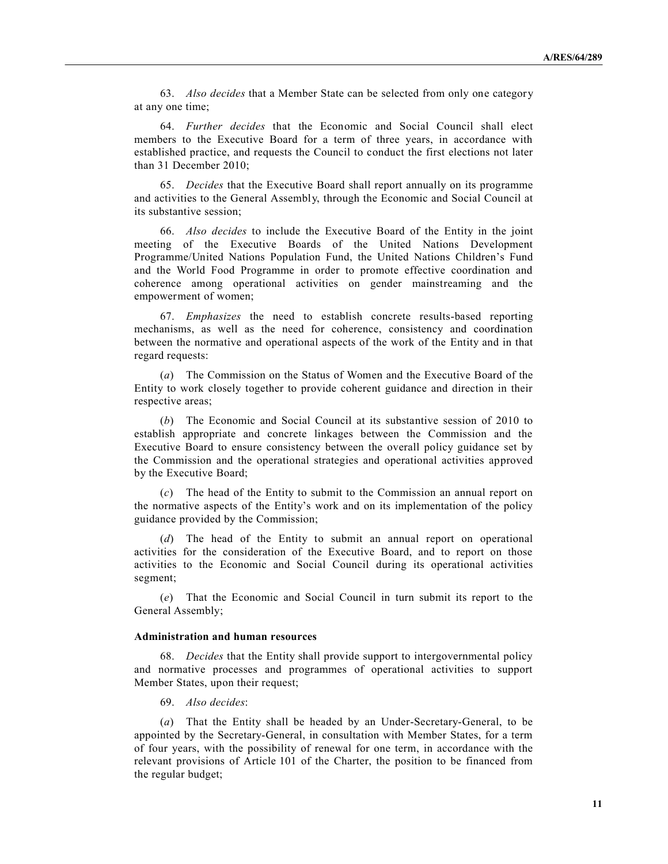63. *Also decides* that a Member State can be selected from only one category at any one time;

64. *Further decides* that the Economic and Social Council shall elect members to the Executive Board for a term of three years, in accordance with established practice, and requests the Council to conduct the first elections not later than 31 December 2010;

65. *Decides* that the Executive Board shall report annually on its programme and activities to the General Assembly, through the Economic and Social Council at its substantive session;

66. *Also decides* to include the Executive Board of the Entity in the joint meeting of the Executive Boards of the United Nations Development Programme/United Nations Population Fund, the United Nations Children's Fund and the World Food Programme in order to promote effective coordination and coherence among operational activities on gender mainstreaming and the empowerment of women;

67. *Emphasizes* the need to establish concrete results-based reporting mechanisms, as well as the need for coherence, consistency and coordination between the normative and operational aspects of the work of the Entity and in that regard requests:

(*a*) The Commission on the Status of Women and the Executive Board of the Entity to work closely together to provide coherent guidance and direction in their respective areas;

(*b*) The Economic and Social Council at its substantive session of 2010 to establish appropriate and concrete linkages between the Commission and the Executive Board to ensure consistency between the overall policy guidance set by the Commission and the operational strategies and operational activities approved by the Executive Board;

(*c*) The head of the Entity to submit to the Commission an annual report on the normative aspects of the Entity's work and on its implementation of the policy guidance provided by the Commission;

(*d*) The head of the Entity to submit an annual report on operational activities for the consideration of the Executive Board, and to report on those activities to the Economic and Social Council during its operational activities segment;

(*e*) That the Economic and Social Council in turn submit its report to the General Assembly;

## **Administration and human resources**

68. *Decides* that the Entity shall provide support to intergovernmental policy and normative processes and programmes of operational activities to support Member States, upon their request;

69. *Also decides*:

(*a*) That the Entity shall be headed by an Under-Secretary-General, to be appointed by the Secretary-General, in consultation with Member States, for a term of four years, with the possibility of renewal for one term, in accordance with the relevant provisions of Article 101 of the Charter, the position to be financed from the regular budget;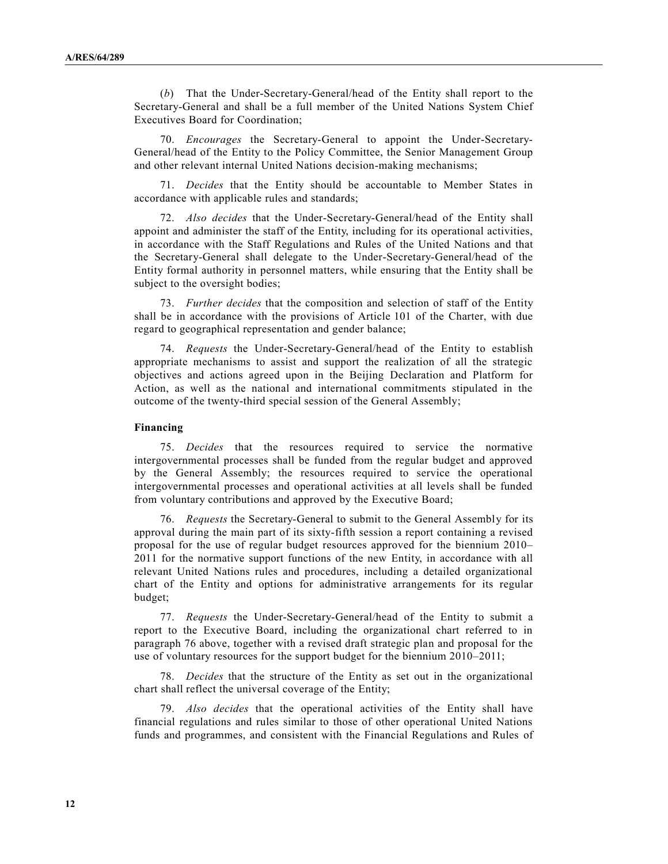(*b*) That the Under-Secretary-General/head of the Entity shall report to the Secretary-General and shall be a full member of the United Nations System Chief Executives Board for Coordination;

70. *Encourages* the Secretary-General to appoint the Under-Secretary-General/head of the Entity to the Policy Committee, the Senior Management Group and other relevant internal United Nations decision-making mechanisms;

71. *Decides* that the Entity should be accountable to Member States in accordance with applicable rules and standards;

72. *Also decides* that the Under-Secretary-General/head of the Entity shall appoint and administer the staff of the Entity, including for its operational activities, in accordance with the Staff Regulations and Rules of the United Nations and that the Secretary-General shall delegate to the Under-Secretary-General/head of the Entity formal authority in personnel matters, while ensuring that the Entity shall be subject to the oversight bodies;

73. *Further decides* that the composition and selection of staff of the Entity shall be in accordance with the provisions of Article 101 of the Charter, with due regard to geographical representation and gender balance;

74. *Requests* the Under-Secretary-General/head of the Entity to establish appropriate mechanisms to assist and support the realization of all the strategic objectives and actions agreed upon in the Beijing Declaration and Platform for Action, as well as the national and international commitments stipulated in the outcome of the twenty-third special session of the General Assembly;

### **Financing**

75. *Decides* that the resources required to service the normative intergovernmental processes shall be funded from the regular budget and approved by the General Assembly; the resources required to service the operational intergovernmental processes and operational activities at all levels shall be funded from voluntary contributions and approved by the Executive Board;

76. *Requests* the Secretary-General to submit to the General Assembly for its approval during the main part of its sixty-fifth session a report containing a revised proposal for the use of regular budget resources approved for the biennium 2010– 2011 for the normative support functions of the new Entity, in accordance with all relevant United Nations rules and procedures, including a detailed organizational chart of the Entity and options for administrative arrangements for its regular budget;

77. *Requests* the Under-Secretary-General/head of the Entity to submit a report to the Executive Board, including the organizational chart referred to in paragraph 76 above, together with a revised draft strategic plan and proposal for the use of voluntary resources for the support budget for the biennium 2010–2011;

78. *Decides* that the structure of the Entity as set out in the organizational chart shall reflect the universal coverage of the Entity;

79. *Also decides* that the operational activities of the Entity shall have financial regulations and rules similar to those of other operational United Nations funds and programmes, and consistent with the Financial Regulations and Rules of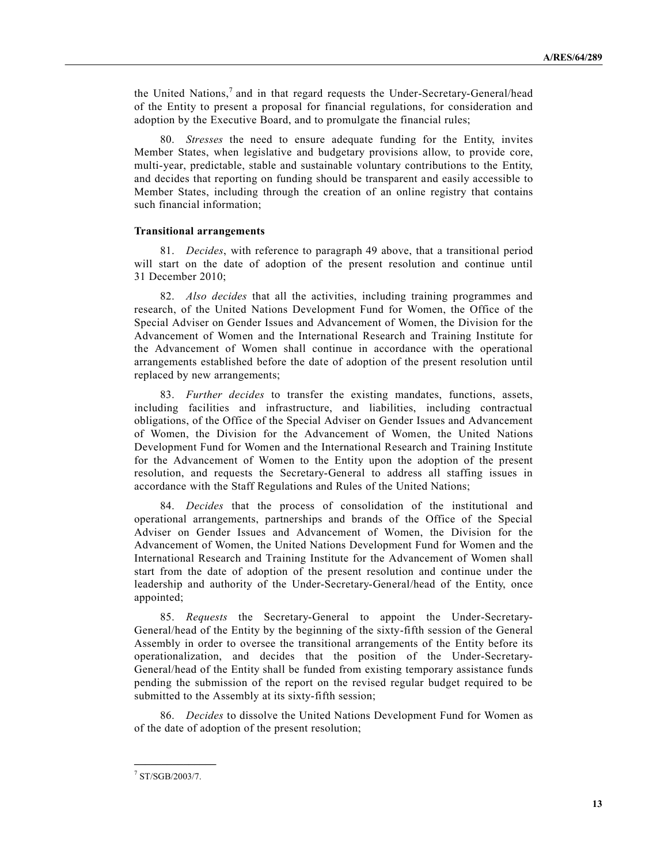the United Nations, 7 and in that regard requests the Under-Secretary-General/head of the Entity to present a proposal for financial regulations, for consideration and adoption by the Executive Board, and to promulgate the financial rules;

80. *Stresses* the need to ensure adequate funding for the Entity, invites Member States, when legislative and budgetary provisions allow, to provide core, multi-year, predictable, stable and sustainable voluntary contributions to the Entity, and decides that reporting on funding should be transparent and easily accessible to Member States, including through the creation of an online registry that contains such financial information;

#### **Transitional arrangements**

81. *Decides*, with reference to paragraph 49 above, that a transitional period will start on the date of adoption of the present resolution and continue until 31 December 2010;

82. *Also decides* that all the activities, including training programmes and research, of the United Nations Development Fund for Women, the Office of the Special Adviser on Gender Issues and Advancement of Women, the Division for the Advancement of Women and the International Research and Training Institute for the Advancement of Women shall continue in accordance with the operational arrangements established before the date of adoption of the present resolution until replaced by new arrangements;

83. *Further decides* to transfer the existing mandates, functions, assets, including facilities and infrastructure, and liabilities, including contractual obligations, of the Office of the Special Adviser on Gender Issues and Advancement of Women, the Division for the Advancement of Women, the United Nations Development Fund for Women and the International Research and Training Institute for the Advancement of Women to the Entity upon the adoption of the present resolution, and requests the Secretary-General to address all staffing issues in accordance with the Staff Regulations and Rules of the United Nations;

84. *Decides* that the process of consolidation of the institutional and operational arrangements, partnerships and brands of the Office of the Special Adviser on Gender Issues and Advancement of Women, the Division for the Advancement of Women, the United Nations Development Fund for Women and the International Research and Training Institute for the Advancement of Women shall start from the date of adoption of the present resolution and continue under the leadership and authority of the Under-Secretary-General/head of the Entity, once appointed;

85. *Requests* the Secretary-General to appoint the Under-Secretary-General/head of the Entity by the beginning of the sixty-fifth session of the General Assembly in order to oversee the transitional arrangements of the Entity before its operationalization, and decides that the position of the Under-Secretary-General/head of the Entity shall be funded from existing temporary assistance funds pending the submission of the report on the revised regular budget required to be submitted to the Assembly at its sixty-fifth session;

86. *Decides* to dissolve the United Nations Development Fund for Women as of the date of adoption of the present resolution;

**\_\_\_\_\_\_\_\_\_\_\_\_\_\_\_**

<sup>7</sup> ST/SGB/2003/7.